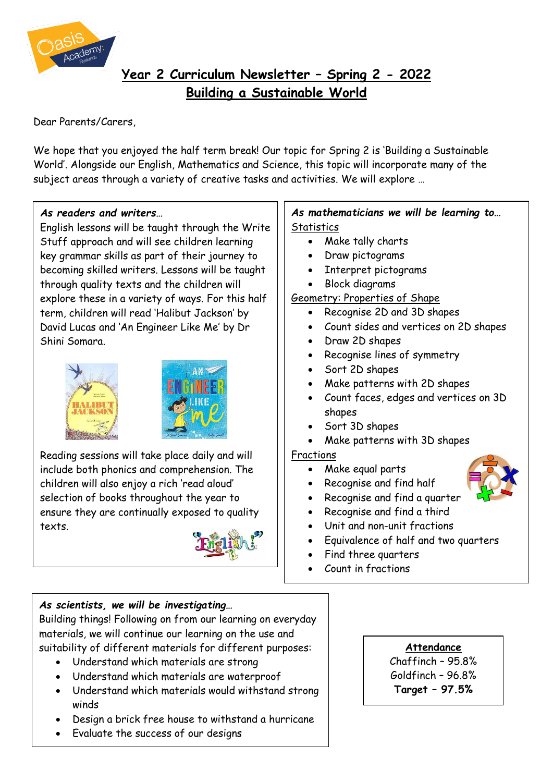

# **Year 2 Curriculum Newsletter – Spring 2 - 2022 Building a Sustainable World**

Dear Parents/Carers,

We hope that you enjoyed the half term break! Our topic for Spring 2 is 'Building a Sustainable World'. Alongside our English, Mathematics and Science, this topic will incorporate many of the subject areas through a variety of creative tasks and activities. We will explore …

## *As readers and writers…*

English lessons will be taught through the Write Stuff approach and will see children learning key grammar skills as part of their journey to becoming skilled writers. Lessons will be taught through quality texts and the children will explore these in a variety of ways. For this half term, children will read 'Halibut Jackson' by David Lucas and 'An Engineer Like Me' by Dr Shini Somara.





Reading sessions will take place daily and will include both phonics and comprehension. The children will also enjoy a rich 'read aloud' selection of books throughout the year to ensure they are continually exposed to quality texts.



# *As scientists, we will be investigating…*

Building things! Following on from our learning on everyday materials, we will continue our learning on the use and suitability of different materials for different purposes:

- Understand which materials are strong
- Understand which materials are waterproof
- Understand which materials would withstand strong winds
- Design a brick free house to withstand a hurricane
- Evaluate the success of our designs

## *As mathematicians we will be learning to…* **Statistics**

- Make tally charts
- Draw pictograms
- Interpret pictograms
- Block diagrams

## Geometry: Properties of Shape

- Recognise 2D and 3D shapes
- Count sides and vertices on 2D shapes
- Draw 2D shapes
- Recognise lines of symmetry
- Sort 2D shapes
- Make patterns with 2D shapes
- Count faces, edges and vertices on 3D shapes
- Sort 3D shapes
- Make patterns with 3D shapes

# Fractions

- Make equal parts
- Recognise and find half
- Recognise and find a quarter
- Recognise and find a third
- Unit and non-unit fractions
- Equivalence of half and two quarters
- Find three quarters
- Count in fractions

#### **Attendance**

Chaffinch – 95.8% Goldfinch – 96.8% **Target – 97.5%**